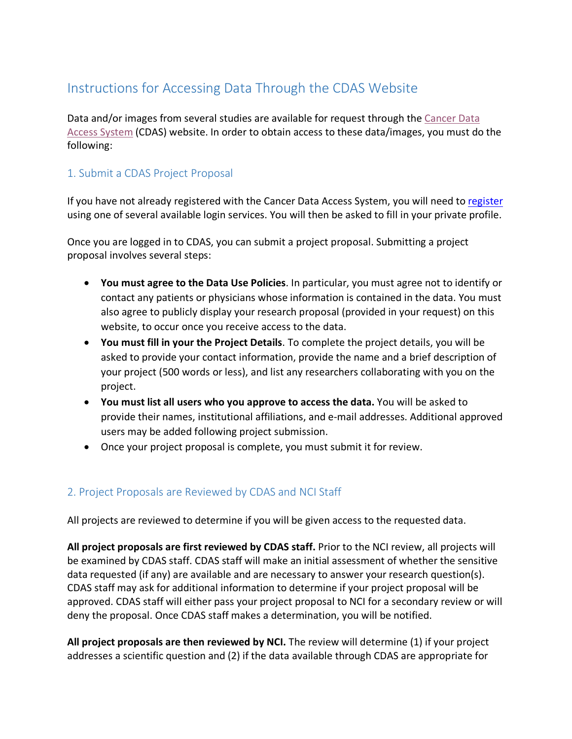## Instructions for Accessing Data Through the CDAS Website

Data and/or images from several studies are available for request through the [Cancer Data](https://cdas.cancer.gov/)  [Access System](https://cdas.cancer.gov/) (CDAS) website. In order to obtain access to these data/images, you must do the following:

## 1. Submit a CDAS Project Proposal

If you have not already registered with the Cancer Data Access System, you will need to [register](https://cdas.cancer.gov/register/) using one of several available login services. You will then be asked to fill in your private profile.

Once you are logged in to CDAS, you can submit a project proposal. Submitting a project proposal involves several steps:

- **You must agree to the Data Use Policies**. In particular, you must agree not to identify or contact any patients or physicians whose information is contained in the data. You must also agree to publicly display your research proposal (provided in your request) on this website, to occur once you receive access to the data.
- **You must fill in your the Project Details**. To complete the project details, you will be asked to provide your contact information, provide the name and a brief description of your project (500 words or less), and list any researchers collaborating with you on the project.
- **You must list all users who you approve to access the data.** You will be asked to provide their names, institutional affiliations, and e-mail addresses. Additional approved users may be added following project submission.
- Once your project proposal is complete, you must submit it for review.

## 2. Project Proposals are Reviewed by CDAS and NCI Staff

All projects are reviewed to determine if you will be given access to the requested data.

**All project proposals are first reviewed by CDAS staff.** Prior to the NCI review, all projects will be examined by CDAS staff. CDAS staff will make an initial assessment of whether the sensitive data requested (if any) are available and are necessary to answer your research question(s). CDAS staff may ask for additional information to determine if your project proposal will be approved. CDAS staff will either pass your project proposal to NCI for a secondary review or will deny the proposal. Once CDAS staff makes a determination, you will be notified.

**All project proposals are then reviewed by NCI.** The review will determine (1) if your project addresses a scientific question and (2) if the data available through CDAS are appropriate for